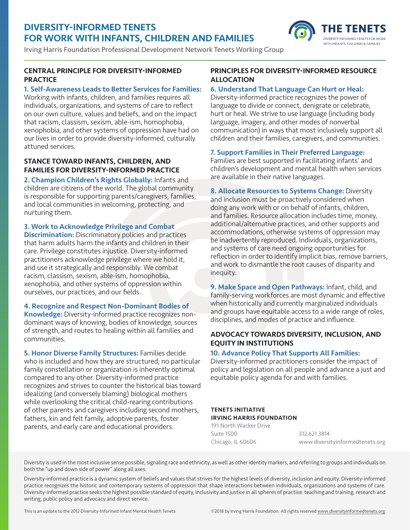# DIVERSITY-INFORMED TENETS FOR WORK WITH INFANTS, CHILDREN AND FAMILIES

Irving Harris Foundation Professional Development Network Tenets Working Group

## CENTRAL PRINCIPLE FOR DIVERSITY-INFORMED **PRACTICE**

## 1. Self-Awareness Leads to Better Services for Families:

Working with infants, children, and families requires all individuals, organizations, and systems of care to reflect on our own culture, values and beliefs, and on the impact that racism, classism, sexism, able-ism, homophobia, xenophobia, and other systems of oppression have had on our lives in order to provide diversity-informed, culturally attuned services.

## STANCE TOWARD INFANTS, CHILDREN, AND FAMILIES FOR DIVERSITY-INFORMED PRACTICE

2. Champion Children's Rights Globally: Infants and children are citizens of the world. The global community is responsible for supporting parents/caregivers, families, and local communities in welcoming, protecting, and nurturing them.

## 3. Work to Acknowledge Privilege and Combat

**Discrimination:** Discriminatory policies and practices that harm adults harm the infants and children in their care. Privilege constitutes injustice. Diversity-informed practitioners acknowledge privilege where we hold it, and use it strategically and responsibly. We combat racism, classism, sexism, able-ism, homophobia, xenophobia, and other systems of oppression within ourselves, our practices, and our fields.

## 4. Recognize and Respect Non-Dominant Bodies of

Knowledge: Diversity-informed practice recognizes nondominant ways of knowing, bodies of knowledge, sources of strength, and routes to healing within all families and communities.

5. Honor Diverse Family Structures: Families decide who is included and how they are structured; no particular family constellation or organization is inherently optimal compared to any other. Diversity-informed practice recognizes and strives to counter the historical bias toward idealizing (and conversely blaming) biological mothers while overlooking the critical child-rearing contributions of other parents and caregivers including second mothers, fathers, kin and felt family, adoptive parents, foster parents, and early care and educational providers.

## PRINCIPLES FOR DIVERSITY-INFORMED RESOURCE ALLOCATION

HE

WITH INFANTS, CHILDREN & FAMILIES

## 6. Understand That Language Can Hurt or Heal:

Diversity-informed practice recognizes the power of language to divide or connect, denigrate or celebrate, hurt or heal. We strive to use language (including body language, imagery, and other modes of nonverbal communication) in ways that most inclusively support all children and their families, caregivers, and communities.

## 7. Support Families in Their Preferred Language:

Families are best supported in facilitating infants' and children's development and mental health when services are available in their native languages.

8. Allocate Resources to Systems Change: Diversity and inclusion must be proactively considered when doing any work with or on behalf of infants, children, and families. Resource allocation includes time, money, additional/alternative practices, and other supports and accommodations, otherwise systems of oppression may be inadvertently reproduced. Individuals, organizations, and systems of care need ongoing opportunities for reflection in order to identify implicit bias, remove barriers, and work to dismantle the root causes of disparity and inequity.

9. Make Space and Open Pathways: Infant, child, and family-serving workforces are most dynamic and effective when historically and currently marginalized individuals and groups have equitable access to a wide range of roles, disciplines, and modes of practice and influence.

# ADVOCACY TOWARDS DIVERSITY, INCLUSION, AND EQUITY IN INSTITUTIONS

## 10. Advance Policy That Supports All Families:

Diversity-informed practitioners consider the impact of policy and legislation on all people and advance a just and equitable policy agenda for and with families.

#### TENETS INITIATIVE IRVING HARRIS FOUNDATION

191 North Wacker Drive Suite 1500 Chicago, IL 60606 312.621.3814 [www.diversityinformedtenets.org](http://www.diversityinformedtenets.org)

Diversity is used in the most inclusive sense possible, signaling race and ethnicity, as well as other identity markers, and referring to groups and individuals on both the "up and down side of power" along all axes.

Diversity-informed practice is a dynamic system of beliefs and values that strives for the highest levels of diversity, inclusion and equity. Diversity-informed practice recognizes the historic and contemporary systems of oppression that shape interactions between individuals, organizations and systems of care. Diversity-informed practice seeks the highest possible standard of equity, inclusivity and justice in all spheres of practice: teaching and training, research and writing, public policy and advocacy and direct service.